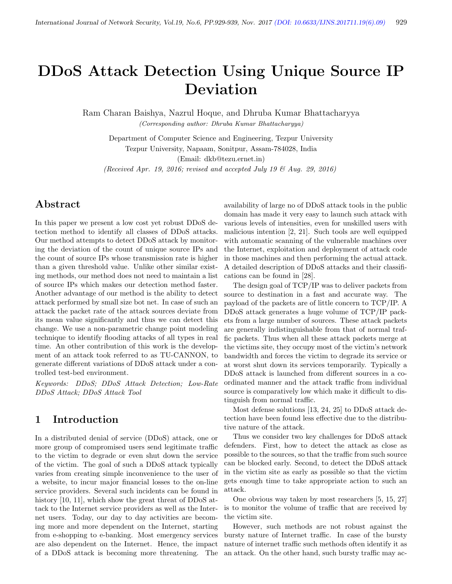# DDoS Attack Detection Using Unique Source IP Deviation

Ram Charan Baishya, Nazrul Hoque, and Dhruba Kumar Bhattacharyya (Corresponding author: Dhruba Kumar Bhattacharyya)

Department of Computer Science and Engineering, Tezpur University Tezpur University, Napaam, Sonitpur, Assam-784028, India (Email: dkb@tezu.ernet.in)

(Received Apr. 19, 2016; revised and accepted July 19  $\mathcal{O}(A)$  Aug. 29, 2016)

## Abstract

In this paper we present a low cost yet robust DDoS detection method to identify all classes of DDoS attacks. Our method attempts to detect DDoS attack by monitoring the deviation of the count of unique source IPs and the count of source IPs whose transmission rate is higher than a given threshold value. Unlike other similar existing methods, our method does not need to maintain a list of source IPs which makes our detection method faster. Another advantage of our method is the ability to detect attack performed by small size bot net. In case of such an attack the packet rate of the attack sources deviate from its mean value significantly and thus we can detect this change. We use a non-parametric change point modeling technique to identify flooding attacks of all types in real time. An other contribution of this work is the development of an attack took referred to as TU-CANNON, to generate different variations of DDoS attack under a controlled test-bed environment.

Keywords: DDoS; DDoS Attack Detection; Low-Rate DDoS Attack; DDoS Attack Tool

## 1 Introduction

In a distributed denial of service (DDoS) attack, one or more group of compromised users send legitimate traffic to the victim to degrade or even shut down the service of the victim. The goal of such a DDoS attack typically varies from creating simple inconvenience to the user of a website, to incur major financial losses to the on-line service providers. Several such incidents can be found in history [10, 11], which show the great threat of DDoS attack to the Internet service providers as well as the Internet users. Today, our day to day activities are becoming more and more dependent on the Internet, starting from e-shopping to e-banking. Most emergency services are also dependent on the Internet. Hence, the impact of a DDoS attack is becoming more threatening. The availability of large no of DDoS attack tools in the public domain has made it very easy to launch such attack with various levels of intensities, even for unskilled users with malicious intention [2, 21]. Such tools are well equipped with automatic scanning of the vulnerable machines over the Internet, exploitation and deployment of attack code in those machines and then performing the actual attack. A detailed description of DDoS attacks and their classifications can be found in [28].

The design goal of TCP/IP was to deliver packets from source to destination in a fast and accurate way. The payload of the packets are of little concern to TCP/IP. A DDoS attack generates a huge volume of TCP/IP packets from a large number of sources. These attack packets are generally indistinguishable from that of normal traffic packets. Thus when all these attack packets merge at the victims site, they occupy most of the victim's network bandwidth and forces the victim to degrade its service or at worst shut down its services temporarily. Typically a DDoS attack is launched from different sources in a coordinated manner and the attack traffic from individual source is comparatively low which make it difficult to distinguish from normal traffic.

Most defense solutions [13, 24, 25] to DDoS attack detection have been found less effective due to the distributive nature of the attack.

Thus we consider two key challenges for DDoS attack defenders. First, how to detect the attack as close as possible to the sources, so that the traffic from such source can be blocked early. Second, to detect the DDoS attack in the victim site as early as possible so that the victim gets enough time to take appropriate action to such an attack.

One obvious way taken by most researchers [5, 15, 27] is to monitor the volume of traffic that are received by the victim site.

However, such methods are not robust against the bursty nature of Internet traffic. In case of the bursty nature of internet traffic such methods often identify it as an attack. On the other hand, such bursty traffic may ac-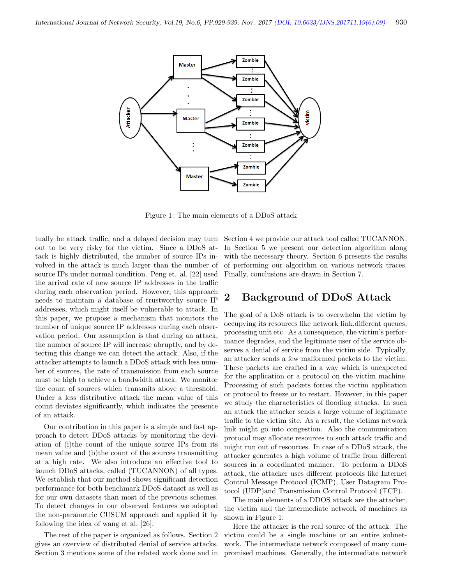

Figure 1: The main elements of a DDoS attack

tually be attack traffic, and a delayed decision may turn out to be very risky for the victim. Since a DDoS attack is highly distributed, the number of source IPs involved in the attack is much larger than the number of source IPs under normal condition. Peng et. al. [22] used the arrival rate of new source IP addresses in the traffic during each observation period. However, this approach needs to maintain a database of trustworthy source IP addresses, which might itself be vulnerable to attack. In this paper, we propose a mechanism that monitors the number of unique source IP addresses during each observation period. Our assumption is that during an attack, the number of source IP will increase abruptly, and by detecting this change we can detect the attack. Also, if the attacker attempts to launch a DDoS attack with less number of sources, the rate of transmission from each source must be high to achieve a bandwidth attack. We monitor the count of sources which transmits above a threshold. Under a less distributive attack the mean value of this count deviates significantly, which indicates the presence of an attack.

Our contribution in this paper is a simple and fast approach to detect DDoS attacks by monitoring the deviation of (i)the count of the unique source IPs from its mean value and (b)the count of the sources transmitting at a high rate. We also introduce an effective tool to launch DDoS attacks, called (TUCANNON) of all types. We establish that our method shows significant detection performance for both benchmark DDoS dataset as well as for our own datasets than most of the previous schemes. To detect changes in our observed features we adopted the non-parametric CUSUM approach and applied it by following the idea of wang et al. [26].

The rest of the paper is organized as follows. Section 2 gives an overview of distributed denial of service attacks. Section 3 mentions some of the related work done and in

Section 4 we provide our attack tool called TUCANNON. In Section 5 we present our detection algorithm along with the necessary theory. Section 6 presents the results of performing our algorithm on various network traces. Finally, conclusions are drawn in Section 7.

## 2 Background of DDoS Attack

The goal of a DoS attack is to overwhelm the victim by occupying its resources like network link,different queues, processing unit etc. As a consequence, the victim's performance degrades, and the legitimate user of the service observes a denial of service from the victim side. Typically, an attacker sends a few malformed packets to the victim. These packets are crafted in a way which is unexpected for the application or a protocol on the victim machine. Processing of such packets forces the victim application or protocol to freeze or to restart. However, in this paper we study the characteristics of flooding attacks. In such an attack the attacker sends a large volume of legitimate traffic to the victim site. As a result, the victims network link might go into congestion. Also the communication protocol may allocate resources to such attack traffic and might run out of resources. In case of a DDoS attack, the attacker generates a high volume of traffic from different sources in a coordinated manner. To perform a DDoS attack, the attacker uses different protocols like Internet Control Message Protocol (ICMP), User Datagram Protocol (UDP)and Transmission Control Protocol (TCP).

The main elements of a DDOS attack are the attacker, the victim and the intermediate network of machines as shown in Figure 1.

Here the attacker is the real source of the attack. The victim could be a single machine or an entire subnetwork. The intermediate network composed of many compromised machines. Generally, the intermediate network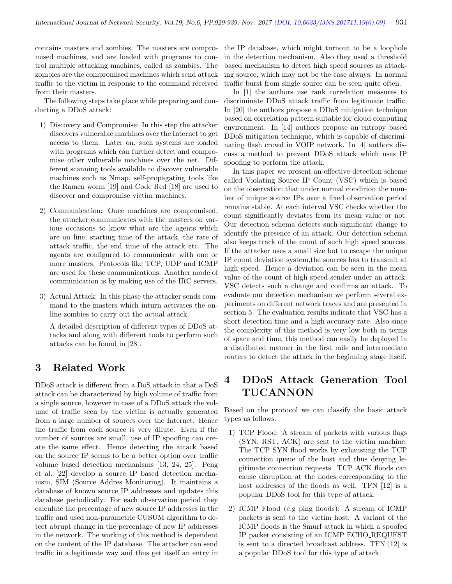contains masters and zombies. The masters are compromised machines, and are loaded with programs to control multiple attacking machines, called as zombies. The zombies are the compromised machines which send attack traffic to the victim in response to the command received from their masters.

The following steps take place while preparing and conducting a DDoS attack:

- 1) Discovery and Compromise: In this step the attacker discovers vulnerable machines over the Internet to get access to them. Later on, such systems are loaded with programs which can further detect and compromise other vulnerable machines over the net. Different scanning tools available to discover vulnerable machines such as Nmap, self-propagating tools like the Ramen worm [19] and Code Red [18] are used to discover and compromise victim machines.
- 2) Communication: Once machines are compromised, the attacker communicates with the masters on various occasions to know what are the agents which are on line, starting time of the attack, the rate of attack traffic, the end time of the attack etc. The agents are configured to communicate with one or more masters. Protocols like TCP, UDP and ICMP are used for these communications. Another mode of communication is by making use of the IRC servers.
- 3) Actual Attack: In this phase the attacker sends command to the masters which inturn activates the online zombies to carry out the actual attack.

A detailed description of different types of DDoS attacks and along with different tools to perform such attacks can be found in [28].

## 3 Related Work

DDoS attack is different from a DoS attack in that a DoS attack can be characterized by high volume of traffic from a single source, however in case of a DDoS attack the volume of traffic seen by the victim is actually generated from a large number of sources over the Internet. Hence the traffic from each source is very dilute. Even if the number of sources are small, use of IP spoofing can create the same effect. Hence detecting the attack based on the source IP seems to be a better option over traffic volume based detection mechanisms [13, 24, 25]. Peng et al. [22] develop a source IP based detection mechanism, SIM (Source Addres Monitoring). It maintains a database of known source IP addresses and updates this database periodically. For each observation period they calculate the percentage of new source IP addresses in the traffic and used non-parametric CUSUM algorithm to detect abrupt change in the percentage of new IP addresses in the network. The working of this method is dependent on the content of the IP database. The attacker can send traffic in a legitimate way and thus get itself an entry in

the IP database, which might turnout to be a loophole in the detection mechanism. Also they used a threshold based mechanism to detect high speed sources as attacking source, which may not be the case always. In normal traffic burst from single source can be seen quite often.

In [1] the authors use rank correlation measures to discriminate DDoS attack traffic from legitimate traffic. In [20] the authors propose a DDoS mitigation technique based on correlation pattern suitable for cloud computing environment. In [14] authors propose an entropy based DDoS mitigation technique, which is capable of discriminating flash crowd in VOIP network. In [4] authors discuss a method to prevent DDoS attack which uses IP spoofing to perform the attack.

In this paper we present an effective detection scheme called Violating Source IP Count (VSC) which is based on the observation that under normal condirion the number of unique source IPs over a fixed observation period remains stable. At each interval VSC checks whether the count significantly deviates from its mean value or not. Our detection schema detects such significant change to identify the presence of an attack. Our detection schema also keeps track of the count of such high speed sources. If the attacker uses a small size bot to escape the unique IP count deviation system,the sources has to transmit at high speed. Hence a deviation can be seen in the mean value of the count of high speed sender under an attack. VSC detects such a change and confirms an attack. To evaluate our detection mechanism we perform several experiments on different network traces and are presented in section 5. The evaluation results indicate that VSC has a short detection time and a high accuracy rate. Also since the complexity of this method is very low both in terms of space and time, this method can easily be deployed in a distributed manner in the first mile and intermediate routers to detect the attack in the beginning stage itself.

## 4 DDoS Attack Generation Tool TUCANNON

Based on the protocol we can classify the basic attack types as follows.

- 1) TCP Flood: A stream of packets with various flags (SYN, RST, ACK) are sent to the victim machine. The TCP SYN flood works by exhausting the TCP connection queue of the host and thus denying legitimate connection requests. TCP ACK floods can cause disruption at the nodes corresponding to the host addresses of the floods as well. TFN [12] is a popular DDoS tool for this type of attack.
- 2) ICMP Flood (e.g ping floods): A stream of ICMP packets is sent to the victim host. A variant of the ICMP floods is the Smurf attack in which a spoofed IP packet consisting of an ICMP ECHO REQUEST is sent to a directed broadcast address. TFN [12] is a popular DDoS tool for this type of attack.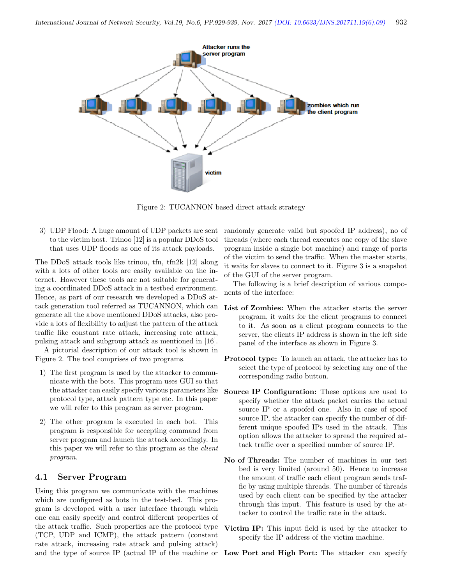

Figure 2: TUCANNON based direct attack strategy

3) UDP Flood: A huge amount of UDP packets are sent to the victim host. Trinoo [12] is a popular DDoS tool that uses UDP floods as one of its attack payloads.

The DDoS attack tools like trinoo, tfn, tfn2k [12] along with a lots of other tools are easily available on the internet. However these tools are not suitable for generating a coordinated DDoS attack in a testbed environment. Hence, as part of our research we developed a DDoS attack generation tool referred as TUCANNON, which can generate all the above mentioned DDoS attacks, also provide a lots of flexibility to adjust the pattern of the attack traffic like constant rate attack, increasing rate attack, pulsing attack and subgroup attack as mentioned in [16].

A pictorial description of our attack tool is shown in Figure 2. The tool comprises of two programs.

- 1) The first program is used by the attacker to communicate with the bots. This program uses GUI so that the attacker can easily specify various parameters like protocol type, attack pattern type etc. In this paper we will refer to this program as server program.
- 2) The other program is executed in each bot. This program is responsible for accepting command from server program and launch the attack accordingly. In this paper we will refer to this program as the *client* program.

#### 4.1 Server Program

Using this program we communicate with the machines which are configured as bots in the test-bed. This program is developed with a user interface through which one can easily specify and control different properties of the attack traffic. Such properties are the protocol type (TCP, UDP and ICMP), the attack pattern (constant rate attack, increasing rate attack and pulsing attack) and the type of source IP (actual IP of the machine or randomly generate valid but spoofed IP address), no of threads (where each thread executes one copy of the slave program inside a single bot machine) and range of ports of the victim to send the traffic. When the master starts, it waits for slaves to connect to it. Figure 3 is a snapshot of the GUI of the server program.

The following is a brief description of various components of the interface:

- List of Zombies: When the attacker starts the server program, it waits for the client programs to connect to it. As soon as a client program connects to the server, the clients IP address is shown in the left side panel of the interface as shown in Figure 3.
- Protocol type: To launch an attack, the attacker has to select the type of protocol by selecting any one of the corresponding radio button.
- Source IP Configuration: These options are used to specify whether the attack packet carries the actual source IP or a spoofed one. Also in case of spoof source IP, the attacker can specify the number of different unique spoofed IPs used in the attack. This option allows the attacker to spread the required attack traffic over a specified number of source IP.
- No of Threads: The number of machines in our test bed is very limited (around 50). Hence to increase the amount of traffic each client program sends traffic by using multiple threads. The number of threads used by each client can be specified by the attacker through this input. This feature is used by the attacker to control the traffic rate in the attack.
- Victim IP: This input field is used by the attacker to specify the IP address of the victim machine.

Low Port and High Port: The attacker can specify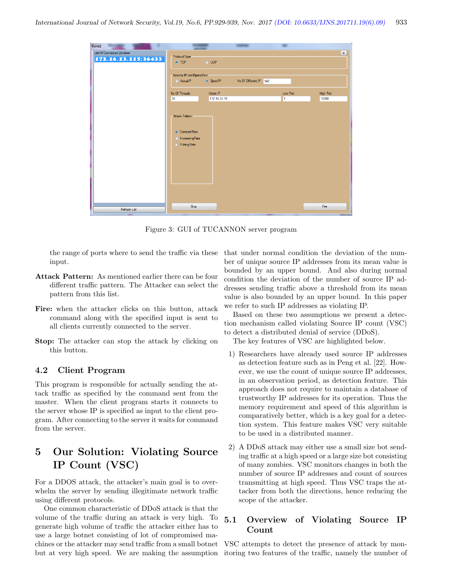| Form1                     |                                                                                                   |              |  |          |                  |  |
|---------------------------|---------------------------------------------------------------------------------------------------|--------------|--|----------|------------------|--|
| List Of Connected Zombies |                                                                                                   |              |  |          | $\mathbf{X}$     |  |
| 172.16.13.115:36433       | ProtocolType<br>O TCP                                                                             | $\odot$ UDP  |  |          |                  |  |
|                           | <b>Source IP configuration</b><br>ActualIP<br>SpoofIP<br>No Of Different IP 140                   |              |  |          |                  |  |
|                           |                                                                                                   |              |  |          |                  |  |
|                           | No Of Threads                                                                                     | Victim IP    |  | Low Port | <b>High Port</b> |  |
|                           | 30                                                                                                | 172.16.33.15 |  | I1       | 10000            |  |
|                           | <b>Attack Pattern</b><br><b>O</b> ConstantRate<br><b>O</b> IncreasingRate<br><b>O</b> PulsingRate |              |  |          |                  |  |
| Refresh List              | Stop                                                                                              |              |  |          | Fire             |  |
|                           |                                                                                                   |              |  |          |                  |  |

Figure 3: GUI of TUCANNON server program

the range of ports where to send the traffic via these input.

- Attack Pattern: As mentioned earlier there can be four different traffic pattern. The Attacker can select the pattern from this list.
- Fire: when the attacker clicks on this button, attack command along with the specified input is sent to all clients currently connected to the server.
- Stop: The attacker can stop the attack by clicking on this button.

#### 4.2 Client Program

This program is responsible for actually sending the attack traffic as specified by the command sent from the master. When the client program starts it connects to the server whose IP is specified as input to the client program. After connecting to the server it waits for command from the server.

## 5 Our Solution: Violating Source IP Count (VSC)

For a DDOS attack, the attacker's main goal is to overwhelm the server by sending illegitimate network traffic using different protocols.

One common characteristic of DDoS attack is that the volume of the traffic during an attack is very high. To generate high volume of traffic the attacker either has to use a large botnet consisting of lot of compromised machines or the attacker may send traffic from a small botnet but at very high speed. We are making the assumption that under normal condition the deviation of the number of unique source IP addresses from its mean value is bounded by an upper bound. And also during normal condition the deviation of the number of source IP addresses sending traffic above a threshold from its mean value is also bounded by an upper bound. In this paper we refer to such IP addresses as violating IP.

Based on these two assumptions we present a detection mechanism called violating Source IP count (VSC) to detect a distributed denial of service (DDoS).

The key features of VSC are highlighted below.

- 1) Researchers have already used source IP addresses as detection feature such as in Peng et al. [22]. However, we use the count of unique source IP addresses, in an observation period, as detection feature. This approach does not require to maintain a database of trustworthy IP addresses for its operation. Thus the memory requirement and speed of this algorithm is comparatively better, which is a key goal for a detection system. This feature makes VSC very suitable to be used in a distributed manner.
- 2) A DDoS attack may either use a small size bot sending traffic at a high speed or a large size bot consisting of many zombies. VSC monitors changes in both the number of source IP addresses and count of sources transmitting at high speed. Thus VSC traps the attacker from both the directions, hence reducing the scope of the attacker.

### 5.1 Overview of Violating Source IP Count

VSC attempts to detect the presence of attack by monitoring two features of the traffic, namely the number of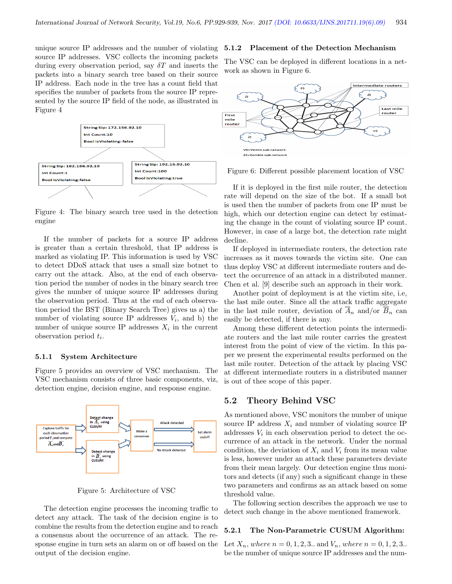unique source IP addresses and the number of violating source IP addresses. VSC collects the incoming packets during every observation period, say  $\delta T$  and inserts the packets into a binary search tree based on their source IP address. Each node in the tree has a count field that specifies the number of packets from the source IP represented by the source IP field of the node, as illustrated in Figure 4



Figure 4: The binary search tree used in the detection engine

If the number of packets for a source IP address is greater than a certain threshold, that IP address is marked as violating IP. This information is used by VSC to detect DDoS attack that uses a small size botnet to carry out the attack. Also, at the end of each observation period the number of nodes in the binary search tree gives the number of unique source IP addresses during the observation period. Thus at the end of each observation period the BST (Binary Search Tree) gives us a) the number of violating source IP addresses  $V_i$ , and b) the number of unique source IP addresses  $X_i$  in the current observation period  $t_i$ .

#### 5.1.1 System Architecture

Figure 5 provides an overview of VSC mechanism. The VSC mechanism consists of three basic components, viz, detection engine, decision engine, and response engine.



Figure 5: Architecture of VSC

The detection engine processes the incoming traffic to detect any attack. The task of the decision engine is to combine the results from the detection engine and to reach a consensus about the occurrence of an attack. The response engine in turn sets an alarm on or off based on the output of the decision engine.

#### 5.1.2 Placement of the Detection Mechanism

The VSC can be deployed in different locations in a network as shown in Figure 6.



Figure 6: Different possible placement location of VSC

If it is deployed in the first mile router, the detection rate will depend on the size of the bot. If a small bot is used then the number of packets from one IP must be high, which our detection engine can detect by estimating the change in the count of violating source IP count. However, in case of a large bot, the detection rate might decline.

If deployed in intermediate routers, the detection rate increases as it moves towards the victim site. One can thus deploy VSC at different intermediate routers and detect the occurrence of an attack in a distributed manner. Chen et al. [9] describe such an approach in their work.

Another point of deployment is at the victim site, i.e, the last mile outer. Since all the attack traffic aggregate in the last mile router, deviation of  $\overline{A}_n$  and/or  $\overline{B}_n$  can easily be detected, if there is any.

Among these different detection points the intermediate routers and the last mile router carries the greatest interest from the point of view of the victim. In this paper we present the experimental results performed on the last mile router. Detection of the attack by placing VSC at different intermediate routers in a distributed manner is out of thee scope of this paper.

#### 5.2 Theory Behind VSC

As mentioned above, VSC monitors the number of unique source IP address  $X_i$  and number of violating source IP addresses  $V_i$  in each observation period to detect the occurrence of an attack in the network. Under the normal condition, the deviation of  $X_i$  and  $V_i$  from its mean value is less, however under an attack these parameters deviate from their mean largely. Our detection engine thus monitors and detects (if any) such a significant change in these two parameters and confirms as an attack based on some threshold value.

The following section describes the approach we use to detect such change in the above mentioned framework.

#### 5.2.1 The Non-Parametric CUSUM Algorithm:

Let  $X_n$ , where  $n = 0, 1, 2, 3$ .. and  $V_n$ , where  $n = 0, 1, 2, 3$ .. be the number of unique source IP addresses and the num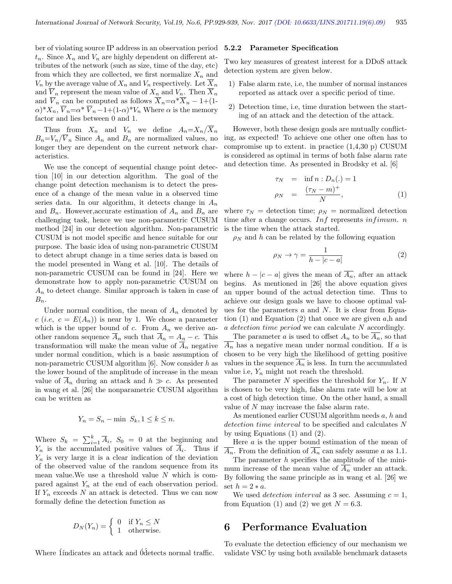ber of violating source IP address in an observation period  $t_n$ . Since  $X_n$  and  $V_n$  are highly dependent on different attributes of the network (such as size, time of the day, etc) from which they are collected, we first normalize  $X_n$  and  $V_n$  by the average value of  $X_n$  and  $V_n$  respectively. Let  $X_n$ and  $V_n$  represent the mean value of  $X_n$  and  $V_n$ . Then  $X_n$ and  $\overline{V}_n$  can be computed as follows  $\overline{X}_n = \alpha^* \overline{X}_n - 1 + (1 - \overline{X}_n)$  $(\alpha)^* X_n$ ,  $\overline{V}_n = \alpha^* \overline{V}_n - 1 + (1-\alpha)^* V_n$  Where  $\alpha$  is the memory factor and lies between 0 and 1.

Thus from  $X_n$  and  $V_n$  we define  $A_n = X_n / \overline{X}_n$  $B_n=V_n/\overline{V}_n$  Since  $A_n$  and  $B_n$  are normalized values, no longer they are dependent on the current network characteristics.

We use the concept of sequential change point detection [10] in our detection algorithm. The goal of the change point detection mechanism is to detect the presence of a change of the mean value in a observed time series data. In our algorithm, it detects change in  $A_n$ and  $B_n$ . However, accurate estimation of  $A_n$  and  $B_n$  are challenging task, hence we use non-parametric CUSUM method [24] in our detection algorithm. Non-parametric CUSUM is not model specific and hence suitable for our purpose. The basic idea of using non-parametric CUSUM to detect abrupt change in a time series data is based on the model presented in Wang et al. [10]. The details of non-parametric CUSUM can be found in [24]. Here we demonstrate how to apply non-parametric CUSUM on  $A_n$  to detect change. Similar approach is taken in case of  $B_n$ .

Under normal condition, the mean of  $A_n$  denoted by  $c$  (*i.e,*  $c = E(A_n)$ ) is near by 1. We chose a parameter which is the upper bound of c. From  $A_n$  we derive another random sequence  $\overline{A}_n$  such that  $\overline{A}_n = A_n - c$ . This transformation will make the mean value of  $\overline{A}_n$  negative under normal condition, which is a basic assumption of non-parametric CUSUM algorithm  $[6]$ . Now consider h as the lower bound of the amplitude of increase in the mean value of  $\overline{A}_n$  during an attack and  $h \gg c$ . As presented in wang et al. [26] the nonparametric CUSUM algorithm can be written as

$$
Y_n = S_n - \min \ S_k, 1 \le k \le n.
$$

Where  $S_k = \sum_{i=1}^k \overline{A}_i$ ,  $S_0 = 0$  at the beginning and  $Y_n$  is the accumulated positive values of  $A_i$ . Thus if  $Y_n$  is very large it is a clear indication of the deviation of the observed value of the random sequence from its mean value. We use a threshold value  $N$  which is compared against  $Y_n$  at the end of each observation period. If  $Y_n$  exceeds N an attack is detected. Thus we can now formally define the detection function as

$$
D_N(Y_n) = \begin{cases} 0 & \text{if } Y_n \le N \\ 1 & \text{otherwise.} \end{cases}
$$

Where <u>I</u>ndicates an attack and <u>O</u>detects normal traffic.

#### 5.2.2 Parameter Specification

Two key measures of greatest interest for a DDoS attack detection system are given below.

- 1) False alarm rate, i.e, the number of normal instances reported as attack over a specific period of time.
- 2) Detection time, i.e, time duration between the starting of an attack and the detection of the attack.

However, both these design goals are mutually conflicting, as expected! To achieve one other one often has to compromise up to extent. in practice (1,4,30 p) CUSUM is considered as optimal in terms of both false alarm rate and detection time. As presented in Brodsky et al. [6]

$$
\begin{array}{rcl}\n\tau_N & = & \inf n : D_n(.) = 1 \\
\rho_N & = & \frac{(\tau_N - m)^+}{N},\n\end{array} \tag{1}
$$

where  $\tau_N$  = detection time;  $\rho_N$  = normalized detection time after a change occurs.  $Inf$  represents  $infimum$ . n is the time when the attack started.

 $\rho_N$  and h can be related by the following equation

$$
\rho_N \to \gamma = \frac{1}{h - |c - a|} \tag{2}
$$

where  $h - |c - a|$  gives the mean of  $\overline{A_n}$ , after an attack begins. As mentioned in [26] the above equation gives an upper bound of the actual detection time. Thus to achieve our design goals we have to choose optimal values for the parameters  $a$  and  $N$ . It is clear from Equation  $(1)$  and Equation  $(2)$  that once we are given a,h and a detection time period we can calculate N accordingly.

The parameter a is used to offset  $A_n$  to be  $A_n$ , so that  $A_n$  has a negative mean under normal condition. If a is chosen to be very high the likelihood of getting positive values in the sequence  $\overline{A_n}$  is less. In turn the accumulated value i.e,  $Y_n$  might not reach the threshold.

The parameter  $N$  specifies the threshold for  $Y_n$ . If  $N$ is chosen to be very high, false alarm rate will be low at a cost of high detection time. On the other hand, a small value of N may increase the false alarm rate.

As mentioned earlier CUSUM algorithm needs a, h and detection time interval to be specified and calculates N by using Equations (1) and (2).

Here  $a$  is the upper bound estimation of the mean of  $\overline{A_n}$ . From the definition of  $\overline{A_n}$  can safely assume a as 1.1. The parameter  $h$  specifies the amplitude of the minimum increase of the mean value of  $A_n$  under an attack. By following the same principle as in wang et al. [26] we set  $h = 2 * a$ .

We used *detection interval* as 3 sec. Assuming  $c = 1$ , from Equation (1) and (2) we get  $N = 6.3$ .

### 6 Performance Evaluation

To evaluate the detection efficiency of our mechanism we validate VSC by using both available benchmark datasets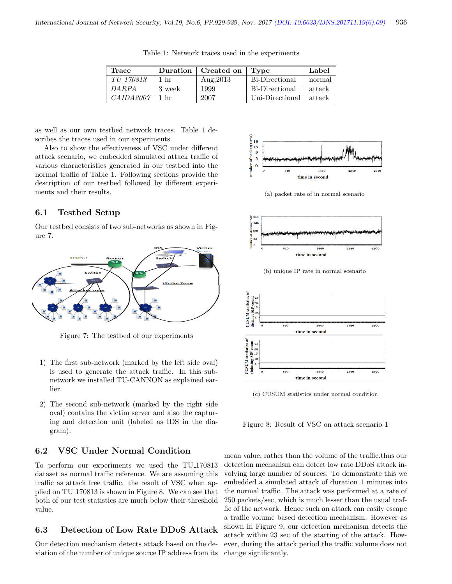| Trace     |        | Duration   Created on | Type            | Label  |
|-----------|--------|-----------------------|-----------------|--------|
| TU_170813 | 1 hr   | Aug. 2013             | Bi-Directional  | normal |
| DARPA     | 3 week | 1999                  | Bi-Directional  | attack |
| CAIDA2007 | 1 hr   | 2007                  | Uni-Directional | attack |

Table 1: Network traces used in the experiments

as well as our own testbed network traces. Table 1 describes the traces used in our experiments.

Also to show the effectiveness of VSC under different attack scenario, we embedded simulated attack traffic of various characteristics generated in our testbed into the normal traffic of Table 1. Following sections provide the description of our testbed followed by different experiments and their results.

#### 6.1 Testbed Setup

Our testbed consists of two sub-networks as shown in Figure 7.



Figure 7: The testbed of our experiments

- 1) The first sub-network (marked by the left side oval) is used to generate the attack traffic. In this subnetwork we installed TU-CANNON as explained earlier.
- 2) The second sub-network (marked by the right side oval) contains the victim server and also the capturing and detection unit (labeled as IDS in the diagram).

### 6.2 VSC Under Normal Condition

To perform our experiments we used the TU 170813 dataset as normal traffic reference. We are assuming this traffic as attack free traffic. the result of VSC when applied on TU 170813 is shown in Figure 8. We can see that both of our test statistics are much below their threshold value.

#### 6.3 Detection of Low Rate DDoS Attack

Our detection mechanism detects attack based on the deviation of the number of unique source IP address from its



(a) packet rate of in normal scenario



(c) CUSUM statistics under normal condition

Figure 8: Result of VSC on attack scenario 1

mean value, rather than the volume of the traffic.thus our detection mechanism can detect low rate DDoS attack involving large number of sources. To demonstrate this we embedded a simulated attack of duration 1 minutes into the normal traffic. The attack was performed at a rate of 250 packets/sec, which is much lesser than the usual traffic of the network. Hence such an attack can easily escape a traffic volume based detection mechanism. However as shown in Figure 9, our detection mechanism detects the attack within 23 sec of the starting of the attack. However, during the attack period the traffic volume does not change significantly.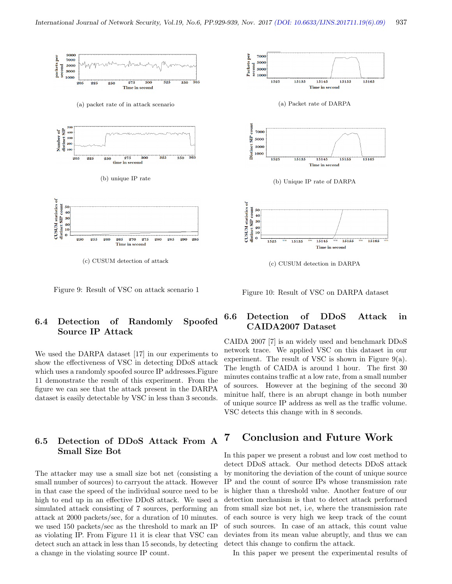

Figure 9: Result of VSC on attack scenario 1

### 6.4 Detection of Randomly Spoofed Source IP Attack

We used the DARPA dataset [17] in our experiments to show the effectiveness of VSC in detecting DDoS attack which uses a randomly spoofed source IP addresses. Figure 11 demonstrate the result of this experiment. From the figure we can see that the attack present in the DARPA dataset is easily detectable by VSC in less than 3 seconds.

### 6.5 Detection of DDoS Attack From A Small Size Bot

The attacker may use a small size bot net (consisting a small number of sources) to carryout the attack. However in that case the speed of the individual source need to be high to end up in an effective DDoS attack. We used a simulated attack consisting of 7 sources, performing an attack at 2000 packets/sec, for a duration of 10 minutes. we used 150 packets/sec as the threshold to mark an IP as violating IP. From Figure 11 it is clear that VSC can detect such an attack in less than 15 seconds, by detecting a change in the violating source IP count.

Figure 10: Result of VSC on DARPA dataset

### 6.6 Detection of DDoS Attack in CAIDA2007 Dataset

CAIDA 2007 [7] is an widely used and benchmark DDoS network trace. We applied VSC on this dataset in our experiment. The result of VSC is shown in Figure  $9(a)$ . The length of CAIDA is around 1 hour. The first 30 minutes contains traffic at a low rate, from a small number of sources. However at the begining of the second 30 minitue half, there is an abrupt change in both number of unique source IP address as well as the traffic volume. VSC detects this change with in 8 seconds.

### 7 Conclusion and Future Work

In this paper we present a robust and low cost method to detect DDoS attack. Our method detects DDoS attack by monitoring the deviation of the count of unique source IP and the count of source IPs whose transmission rate is higher than a threshold value. Another feature of our detection mechanism is that to detect attack performed from small size bot net, i.e, where the transmission rate of each source is very high we keep track of the count of such sources. In case of an attack, this count value deviates from its mean value abruptly, and thus we can detect this change to confirm the attack.

In this paper we present the experimental results of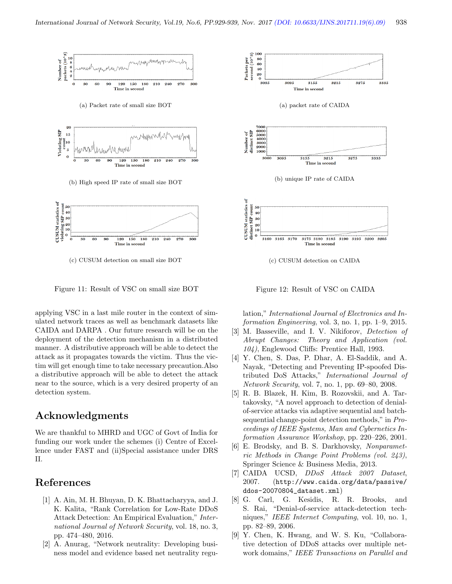

(c) CUSUM detection on small size BOT



applying VSC in a last mile router in the context of simulated network traces as well as benchmark datasets like CAIDA and DARPA . Our future research will be on the deployment of the detection mechanism in a distributed manner. A distributive approach will be able to detect the attack as it propagates towards the victim. Thus the victim will get enough time to take necessary precaution.Also a distributive approach will be able to detect the attack near to the source, which is a very desired property of an detection system.

### Acknowledgments

We are thankful to MHRD and UGC of Govt of India for funding our work under the schemes (i) Centre of Excellence under FAST and (ii)Special assistance under DRS II.

## References

- [1] A. Ain, M. H. Bhuyan, D. K. Bhattacharyya, and J. K. Kalita, "Rank Correlation for Low-Rate DDoS Attack Detection: An Empirical Evaluation," International Journal of Network Security, vol. 18, no. 3, pp. 474–480, 2016.
- [2] A. Anurag, "Network neutrality: Developing business model and evidence based net neutrality regu-



Figure 12: Result of VSC on CAIDA

lation," International Journal of Electronics and Information Engineering, vol. 3, no. 1, pp. 1–9, 2015.

- [3] M. Basseville, and I. V. Nikiforov, *Detection of* Abrupt Changes: Theory and Application (vol. 104), Englewood Cliffs: Prentice Hall, 1993.
- [4] Y. Chen, S. Das, P. Dhar, A. El-Saddik, and A. Nayak, "Detecting and Preventing IP-spoofed Distributed DoS Attacks," International Journal of Network Security, vol. 7, no. 1, pp. 69–80, 2008.
- [5] R. B. Blazek, H. Kim, B. Rozovskii, and A. Tartakovsky, "A novel approach to detection of denialof-service attacks via adaptive sequential and batchsequential change-point detection methods," in Proceedings of IEEE Systems, Man and Cybernetics Information Assurance Workshop, pp. 220–226, 2001.
- [6] E. Brodsky, and B. S. Darkhovsky, Nonparametric Methods in Change Point Problems (vol. 243), Springer Science & Business Media, 2013.
- [7] CAIDA UCSD, DDoS Attack 2007 Dataset, 2007. (http://www.caida.org/data/passive/ ddos-20070804\_dataset.xml)
- [8] G. Carl, G. Kesidis, R. R. Brooks, and S. Rai, "Denial-of-service attack-detection techniques," IEEE Internet Computing, vol. 10, no. 1, pp. 82–89, 2006.
- [9] Y. Chen, K. Hwang, and W. S. Ku, "Collaborative detection of DDoS attacks over multiple network domains," IEEE Transactions on Parallel and